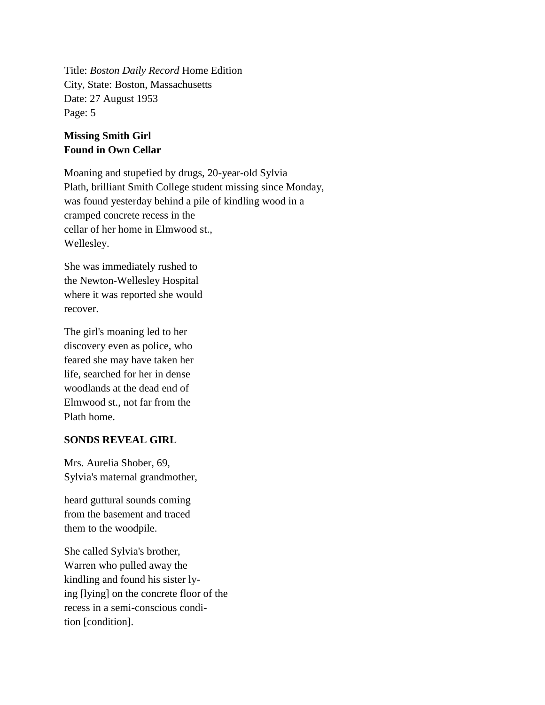Title: *Boston Daily Record* Home Edition City, State: Boston, Massachusetts Date: 27 August 1953 Page: 5

## **Missing Smith Girl Found in Own Cellar**

Moaning and stupefied by drugs, 20-year-old Sylvia Plath, brilliant Smith College student missing since Monday, was found yesterday behind a pile of kindling wood in a cramped concrete recess in the cellar of her home in Elmwood st., Wellesley.

She was immediately rushed to the Newton-Wellesley Hospital where it was reported she would recover.

The girl's moaning led to her discovery even as police, who feared she may have taken her life, searched for her in dense woodlands at the dead end of Elmwood st., not far from the Plath home.

## **SONDS REVEAL GIRL**

Mrs. Aurelia Shober, 69, Sylvia's maternal grandmother,

heard guttural sounds coming from the basement and traced them to the woodpile.

She called Sylvia's brother, Warren who pulled away the kindling and found his sister lying [lying] on the concrete floor of the recess in a semi-conscious condition [condition].